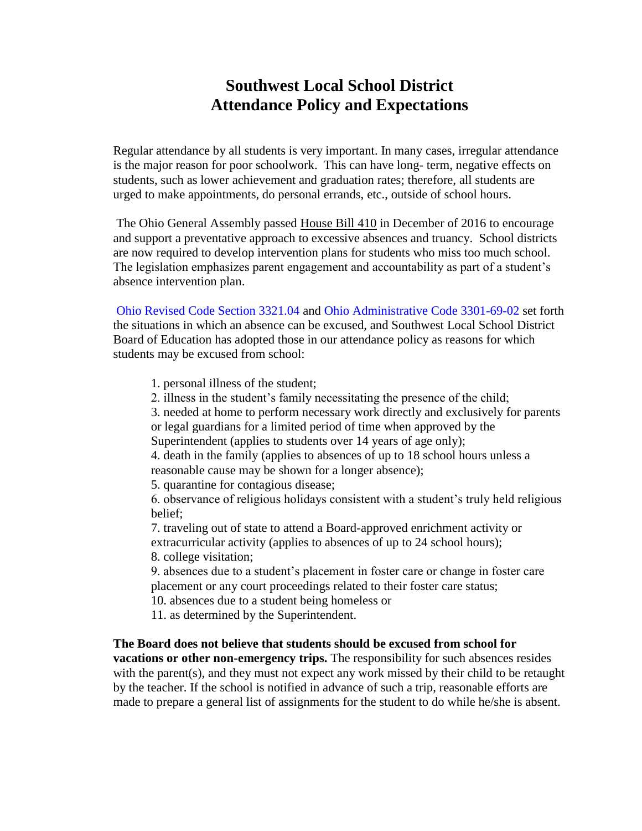## **Southwest Local School District Attendance Policy and Expectations**

Regular attendance by all students is very important. In many cases, irregular attendance is the major reason for poor schoolwork. This can have long- term, negative effects on students, such as lower achievement and graduation rates; therefore, all students are urged to make appointments, do personal errands, etc., outside of school hours.

The Ohio General Assembly passed House Bill 410 in December of 2016 to encourage and support a preventative approach to excessive absences and truancy. School districts are now required to develop intervention plans for students who miss too much school. The legislation emphasizes parent engagement and accountability as part of a student's absence intervention plan.

Ohio Revised Code Section 3321.04 and Ohio Administrative Code 3301-69-02 set forth the situations in which an absence can be excused, and Southwest Local School District Board of Education has adopted those in our attendance policy as reasons for which students may be excused from school:

- 1. personal illness of the student;
- 2. illness in the student's family necessitating the presence of the child;

3. needed at home to perform necessary work directly and exclusively for parents or legal guardians for a limited period of time when approved by the

Superintendent (applies to students over 14 years of age only);

4. death in the family (applies to absences of up to 18 school hours unless a reasonable cause may be shown for a longer absence);

5. quarantine for contagious disease;

6. observance of religious holidays consistent with a student's truly held religious belief;

7. traveling out of state to attend a Board-approved enrichment activity or extracurricular activity (applies to absences of up to 24 school hours); 8. college visitation;

9. absences due to a student's placement in foster care or change in foster care placement or any court proceedings related to their foster care status;

10. absences due to a student being homeless or

11. as determined by the Superintendent.

**The Board does not believe that students should be excused from school for vacations or other non-emergency trips.** The responsibility for such absences resides with the parent(s), and they must not expect any work missed by their child to be retaught by the teacher. If the school is notified in advance of such a trip, reasonable efforts are made to prepare a general list of assignments for the student to do while he/she is absent.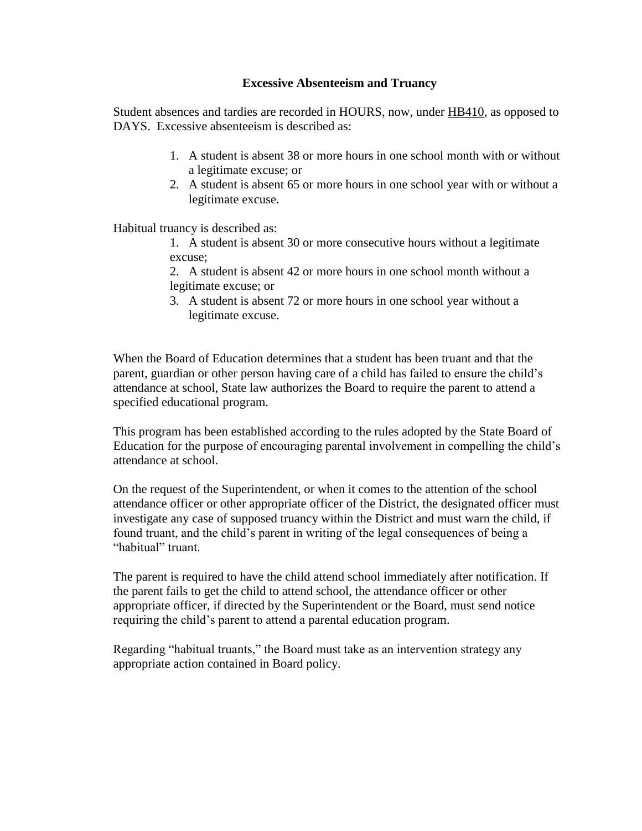## **Excessive Absenteeism and Truancy**

Student absences and tardies are recorded in HOURS, now, under HB410, as opposed to DAYS. Excessive absenteeism is described as:

- 1. A student is absent 38 or more hours in one school month with or without a legitimate excuse; or
- 2. A student is absent 65 or more hours in one school year with or without a legitimate excuse.

Habitual truancy is described as:

1. A student is absent 30 or more consecutive hours without a legitimate excuse;

2. A student is absent 42 or more hours in one school month without a legitimate excuse; or

3. A student is absent 72 or more hours in one school year without a legitimate excuse.

When the Board of Education determines that a student has been truant and that the parent, guardian or other person having care of a child has failed to ensure the child's attendance at school, State law authorizes the Board to require the parent to attend a specified educational program.

This program has been established according to the rules adopted by the State Board of Education for the purpose of encouraging parental involvement in compelling the child's attendance at school.

On the request of the Superintendent, or when it comes to the attention of the school attendance officer or other appropriate officer of the District, the designated officer must investigate any case of supposed truancy within the District and must warn the child, if found truant, and the child's parent in writing of the legal consequences of being a "habitual" truant.

The parent is required to have the child attend school immediately after notification. If the parent fails to get the child to attend school, the attendance officer or other appropriate officer, if directed by the Superintendent or the Board, must send notice requiring the child's parent to attend a parental education program.

Regarding "habitual truants," the Board must take as an intervention strategy any appropriate action contained in Board policy.